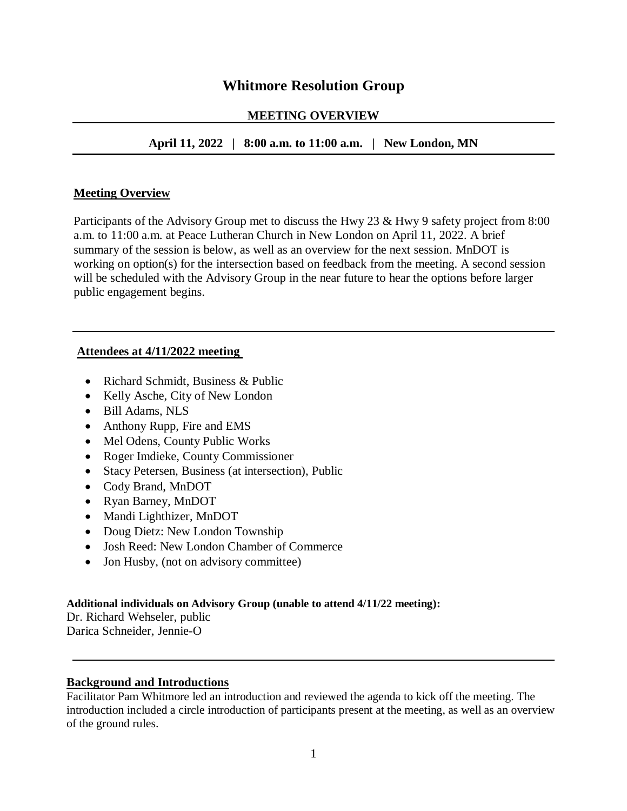# **Whitmore Resolution Group**

#### **MEETING OVERVIEW**

## **April 11, 2022 | 8:00 a.m. to 11:00 a.m. | New London, MN**

#### **Meeting Overview**

Participants of the Advisory Group met to discuss the Hwy 23 & Hwy 9 safety project from 8:00 a.m. to 11:00 a.m. at Peace Lutheran Church in New London on April 11, 2022. A brief summary of the session is below, as well as an overview for the next session. MnDOT is working on option(s) for the intersection based on feedback from the meeting. A second session will be scheduled with the Advisory Group in the near future to hear the options before larger public engagement begins.

#### **Attendees at 4/11/2022 meeting**

- Richard Schmidt, Business & Public
- Kelly Asche, City of New London
- Bill Adams, NLS
- Anthony Rupp, Fire and EMS
- Mel Odens, County Public Works
- Roger Imdieke, County Commissioner
- Stacy Petersen, Business (at intersection), Public
- Cody Brand, MnDOT
- Ryan Barney, MnDOT
- Mandi Lighthizer, MnDOT
- Doug Dietz: New London Township
- Josh Reed: New London Chamber of Commerce
- Jon Husby, (not on advisory committee)

#### **Additional individuals on Advisory Group (unable to attend 4/11/22 meeting):**

Dr. Richard Wehseler, public Darica Schneider, Jennie-O

#### **Background and Introductions**

Facilitator Pam Whitmore led an introduction and reviewed the agenda to kick off the meeting. The introduction included a circle introduction of participants present at the meeting, as well as an overview of the ground rules.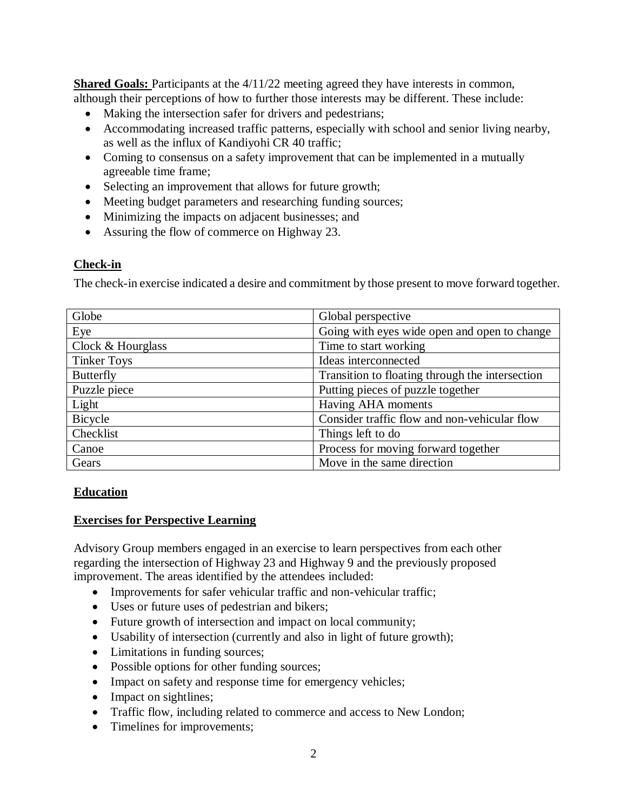**Shared Goals:** Participants at the  $4/11/22$  meeting agreed they have interests in common, although their perceptions of how to further those interests may be different. These include:

- Making the intersection safer for drivers and pedestrians;
- Accommodating increased traffic patterns, especially with school and senior living nearby, as well as the influx of Kandiyohi CR 40 traffic;
- Coming to consensus on a safety improvement that can be implemented in a mutually agreeable time frame;
- Selecting an improvement that allows for future growth;
- Meeting budget parameters and researching funding sources;
- Minimizing the impacts on adjacent businesses; and
- Assuring the flow of commerce on Highway 23.

### **Check-in**

The check-in exercise indicated a desire and commitment by those present to move forward together.

| Globe              | Global perspective                              |
|--------------------|-------------------------------------------------|
| Eye                | Going with eyes wide open and open to change    |
| Clock & Hourglass  | Time to start working                           |
| <b>Tinker Toys</b> | Ideas interconnected                            |
| <b>Butterfly</b>   | Transition to floating through the intersection |
| Puzzle piece       | Putting pieces of puzzle together               |
| Light              | Having AHA moments                              |
| Bicycle            | Consider traffic flow and non-vehicular flow    |
| Checklist          | Things left to do                               |
| Canoe              | Process for moving forward together             |
| Gears              | Move in the same direction                      |

# **Education**

#### **Exercises for Perspective Learning**

Advisory Group members engaged in an exercise to learn perspectives from each other regarding the intersection of Highway 23 and Highway 9 and the previously proposed improvement. The areas identified by the attendees included:

- Improvements for safer vehicular traffic and non-vehicular traffic;
- Uses or future uses of pedestrian and bikers;
- Future growth of intersection and impact on local community;
- Usability of intersection (currently and also in light of future growth);
- Limitations in funding sources;
- Possible options for other funding sources;
- Impact on safety and response time for emergency vehicles;
- Impact on sightlines;
- Traffic flow, including related to commerce and access to New London;
- Timelines for improvements;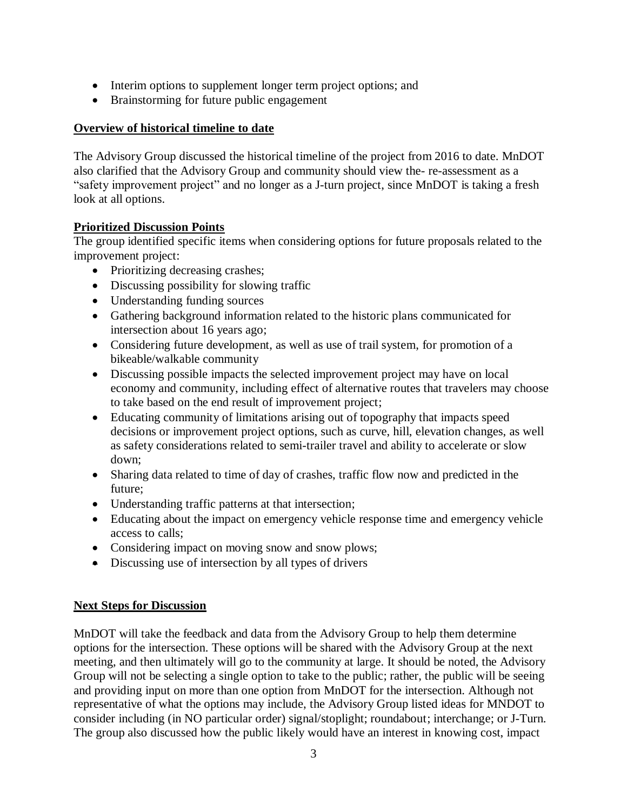- Interim options to supplement longer term project options; and
- Brainstorming for future public engagement

# **Overview of historical timeline to date**

The Advisory Group discussed the historical timeline of the project from 2016 to date. MnDOT also clarified that the Advisory Group and community should view the- re-assessment as a "safety improvement project" and no longer as a J-turn project, since MnDOT is taking a fresh look at all options.

# **Prioritized Discussion Points**

The group identified specific items when considering options for future proposals related to the improvement project:

- Prioritizing decreasing crashes;
- Discussing possibility for slowing traffic
- Understanding funding sources
- Gathering background information related to the historic plans communicated for intersection about 16 years ago;
- Considering future development, as well as use of trail system, for promotion of a bikeable/walkable community
- Discussing possible impacts the selected improvement project may have on local economy and community, including effect of alternative routes that travelers may choose to take based on the end result of improvement project;
- Educating community of limitations arising out of topography that impacts speed decisions or improvement project options, such as curve, hill, elevation changes, as well as safety considerations related to semi-trailer travel and ability to accelerate or slow down;
- Sharing data related to time of day of crashes, traffic flow now and predicted in the future;
- Understanding traffic patterns at that intersection;
- Educating about the impact on emergency vehicle response time and emergency vehicle access to calls;
- Considering impact on moving snow and snow plows;
- Discussing use of intersection by all types of drivers

# **Next Steps for Discussion**

MnDOT will take the feedback and data from the Advisory Group to help them determine options for the intersection. These options will be shared with the Advisory Group at the next meeting, and then ultimately will go to the community at large. It should be noted, the Advisory Group will not be selecting a single option to take to the public; rather, the public will be seeing and providing input on more than one option from MnDOT for the intersection. Although not representative of what the options may include, the Advisory Group listed ideas for MNDOT to consider including (in NO particular order) signal/stoplight; roundabout; interchange; or J-Turn. The group also discussed how the public likely would have an interest in knowing cost, impact